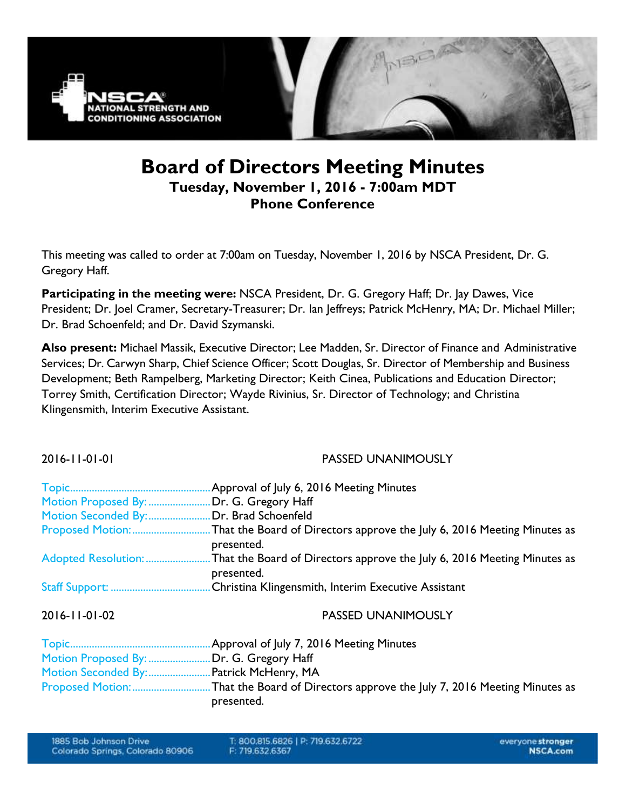

## **Board of Directors Meeting Minutes Tuesday, November 1, 2016 - 7:00am MDT Phone Conference**

This meeting was called to order at 7:00am on Tuesday, November 1, 2016 by NSCA President, Dr. G. Gregory Haff.

**Participating in the meeting were:** NSCA President, Dr. G. Gregory Haff; Dr. Jay Dawes, Vice President; Dr. Joel Cramer, Secretary-Treasurer; Dr. Ian Jeffreys; Patrick McHenry, MA; Dr. Michael Miller; Dr. Brad Schoenfeld; and Dr. David Szymanski.

**Also present:** Michael Massik, Executive Director; Lee Madden, Sr. Director of Finance and Administrative Services; Dr. Carwyn Sharp, Chief Science Officer; Scott Douglas, Sr. Director of Membership and Business Development; Beth Rampelberg, Marketing Director; Keith Cinea, Publications and Education Director; Torrey Smith, Certification Director; Wayde Rivinius, Sr. Director of Technology; and Christina Klingensmith, Interim Executive Assistant.

| 2016-11-01-01 | <b>PASSED UNANIMOUSLY</b>                                                                                 |
|---------------|-----------------------------------------------------------------------------------------------------------|
|               | Approval of July 6, 2016 Meeting Minutes                                                                  |
|               | Motion Proposed By: Dr. G. Gregory Haff                                                                   |
|               | Motion Seconded By:Dr. Brad Schoenfeld                                                                    |
|               | Proposed Motion: That the Board of Directors approve the July 6, 2016 Meeting Minutes as<br>presented.    |
|               | Adopted Resolution: That the Board of Directors approve the July 6, 2016 Meeting Minutes as<br>presented. |
|               | Christina Klingensmith, Interim Executive Assistant                                                       |
| 2016-11-01-02 | <b>PASSED UNANIMOUSLY</b>                                                                                 |

| Motion Proposed By: Dr. G. Gregory Haff  |            |
|------------------------------------------|------------|
| Motion Seconded By:  Patrick McHenry, MA |            |
|                                          |            |
|                                          | presented. |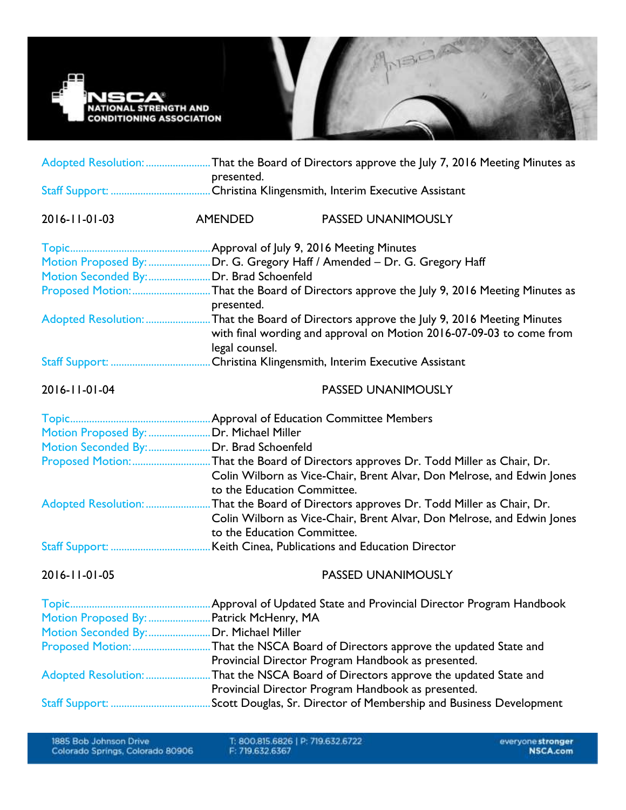

|                                          | Adopted Resolution: That the Board of Directors approve the July 7, 2016 Meeting Minutes as<br>presented. |                                                                                                                                                                  |  |  |
|------------------------------------------|-----------------------------------------------------------------------------------------------------------|------------------------------------------------------------------------------------------------------------------------------------------------------------------|--|--|
|                                          |                                                                                                           |                                                                                                                                                                  |  |  |
| 2016-11-01-03                            | AMENDED                                                                                                   | PASSED UNANIMOUSLY                                                                                                                                               |  |  |
|                                          |                                                                                                           |                                                                                                                                                                  |  |  |
|                                          |                                                                                                           | Motion Proposed By: Dr. G. Gregory Haff / Amended - Dr. G. Gregory Haff                                                                                          |  |  |
|                                          |                                                                                                           |                                                                                                                                                                  |  |  |
|                                          | presented.                                                                                                | Proposed Motion: That the Board of Directors approve the July 9, 2016 Meeting Minutes as                                                                         |  |  |
|                                          | legal counsel.                                                                                            | Adopted Resolution: That the Board of Directors approve the July 9, 2016 Meeting Minutes<br>with final wording and approval on Motion 2016-07-09-03 to come from |  |  |
|                                          |                                                                                                           |                                                                                                                                                                  |  |  |
| 2016-11-01-04                            |                                                                                                           | <b>PASSED UNANIMOUSLY</b>                                                                                                                                        |  |  |
|                                          |                                                                                                           |                                                                                                                                                                  |  |  |
| Motion Proposed By:  Dr. Michael Miller  |                                                                                                           |                                                                                                                                                                  |  |  |
| Motion Seconded By: Dr. Brad Schoenfeld  |                                                                                                           |                                                                                                                                                                  |  |  |
|                                          | to the Education Committee.                                                                               | Proposed Motion: That the Board of Directors approves Dr. Todd Miller as Chair, Dr.<br>Colin Wilborn as Vice-Chair, Brent Alvar, Don Melrose, and Edwin Jones    |  |  |
|                                          |                                                                                                           | Adopted Resolution: That the Board of Directors approves Dr. Todd Miller as Chair, Dr.                                                                           |  |  |
|                                          | to the Education Committee.                                                                               | Colin Wilborn as Vice-Chair, Brent Alvar, Don Melrose, and Edwin Jones                                                                                           |  |  |
|                                          |                                                                                                           |                                                                                                                                                                  |  |  |
| 2016-11-01-05                            |                                                                                                           | <b>PASSED UNANIMOUSLY</b>                                                                                                                                        |  |  |
|                                          |                                                                                                           |                                                                                                                                                                  |  |  |
| Motion Proposed By:  Patrick McHenry, MA |                                                                                                           |                                                                                                                                                                  |  |  |
| Motion Seconded By: Dr. Michael Miller   |                                                                                                           |                                                                                                                                                                  |  |  |
|                                          |                                                                                                           |                                                                                                                                                                  |  |  |
|                                          |                                                                                                           | Provincial Director Program Handbook as presented.                                                                                                               |  |  |
|                                          |                                                                                                           | Adopted Resolution: That the NSCA Board of Directors approve the updated State and                                                                               |  |  |
|                                          |                                                                                                           | Provincial Director Program Handbook as presented.                                                                                                               |  |  |
|                                          |                                                                                                           |                                                                                                                                                                  |  |  |

T: 800.815.6826 | P: 719.632.6722<br>F: 719.632.6367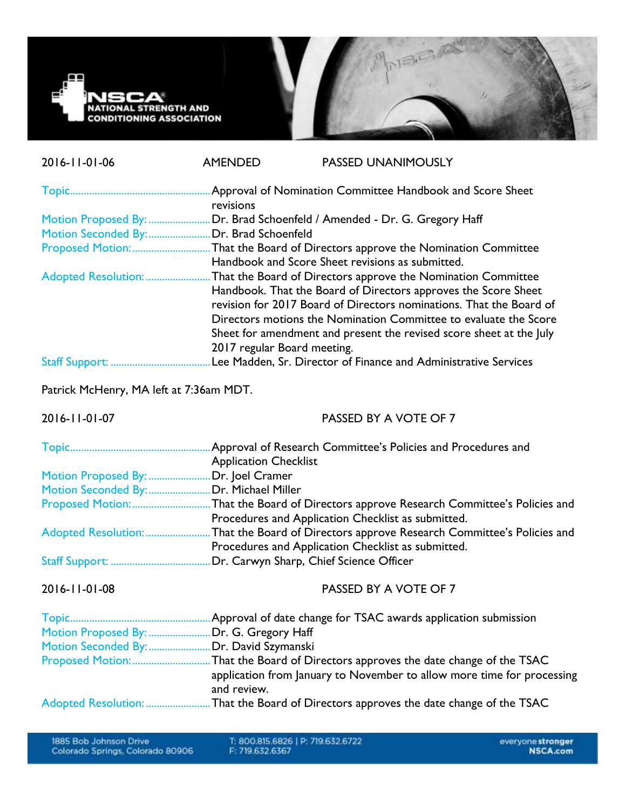

| 2016-11-01-06                           | <b>AMENDED</b>                                                                   | <b>PASSED UNANIMOUSLY</b>                                                                                                                                                                                 |  |  |
|-----------------------------------------|----------------------------------------------------------------------------------|-----------------------------------------------------------------------------------------------------------------------------------------------------------------------------------------------------------|--|--|
|                                         | revisions                                                                        |                                                                                                                                                                                                           |  |  |
|                                         | Motion Proposed By: Dr. Brad Schoenfeld / Amended - Dr. G. Gregory Haff          |                                                                                                                                                                                                           |  |  |
|                                         | Motion Seconded By: Dr. Brad Schoenfeld                                          |                                                                                                                                                                                                           |  |  |
|                                         |                                                                                  | Proposed Motion: That the Board of Directors approve the Nomination Committee<br>Handbook and Score Sheet revisions as submitted.                                                                         |  |  |
|                                         | Adopted Resolution: That the Board of Directors approve the Nomination Committee |                                                                                                                                                                                                           |  |  |
|                                         |                                                                                  | Handbook. That the Board of Directors approves the Score Sheet<br>revision for 2017 Board of Directors nominations. That the Board of<br>Directors motions the Nomination Committee to evaluate the Score |  |  |
|                                         |                                                                                  | Sheet for amendment and present the revised score sheet at the July                                                                                                                                       |  |  |
|                                         | 2017 regular Board meeting.                                                      |                                                                                                                                                                                                           |  |  |
|                                         |                                                                                  |                                                                                                                                                                                                           |  |  |
| Patrick McHenry, MA left at 7:36am MDT. |                                                                                  |                                                                                                                                                                                                           |  |  |
| 2016-11-01-07                           |                                                                                  | PASSED BY A VOTE OF 7                                                                                                                                                                                     |  |  |
|                                         |                                                                                  |                                                                                                                                                                                                           |  |  |
|                                         | <b>Application Checklist</b>                                                     |                                                                                                                                                                                                           |  |  |
| Motion Proposed By:  Dr. Joel Cramer    |                                                                                  |                                                                                                                                                                                                           |  |  |
| Motion Seconded By: Dr. Michael Miller  |                                                                                  |                                                                                                                                                                                                           |  |  |
|                                         |                                                                                  | Proposed Motion: That the Board of Directors approve Research Committee's Policies and<br>Procedures and Application Checklist as submitted.                                                              |  |  |
|                                         |                                                                                  | Adopted Resolution: That the Board of Directors approve Research Committee's Policies and                                                                                                                 |  |  |
|                                         |                                                                                  | Procedures and Application Checklist as submitted.                                                                                                                                                        |  |  |
|                                         |                                                                                  |                                                                                                                                                                                                           |  |  |
| 2016-11-01-08                           |                                                                                  | PASSED BY A VOTE OF 7                                                                                                                                                                                     |  |  |
|                                         |                                                                                  |                                                                                                                                                                                                           |  |  |
|                                         | Motion Proposed By:  Dr. G. Gregory Haff                                         |                                                                                                                                                                                                           |  |  |
| Motion Seconded By: Dr. David Szymanski |                                                                                  |                                                                                                                                                                                                           |  |  |
|                                         | and review.                                                                      | Proposed Motion:That the Board of Directors approves the date change of the TSAC<br>application from January to November to allow more time for processing                                                |  |  |
|                                         |                                                                                  | Adopted Resolution: That the Board of Directors approves the date change of the TSAC                                                                                                                      |  |  |

T: 800.815.6826 | P: 719.632.6722<br>F: 719.632.6367